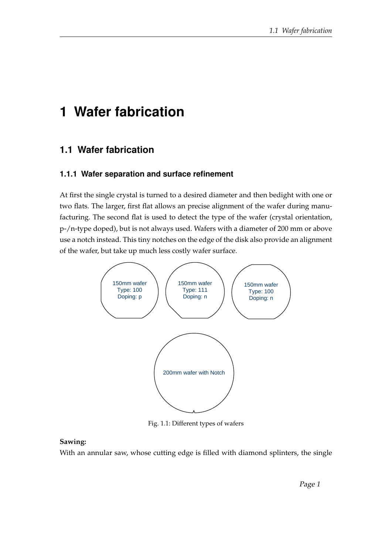# **1 Wafer fabrication**

## **1.1 Wafer fabrication**

#### **1.1.1 Wafer separation and surface refinement**

At first the single crystal is turned to a desired diameter and then bedight with one or two flats. The larger, first flat allows an precise alignment of the wafer during manufacturing. The second flat is used to detect the type of the wafer (crystal orientation, p-/n-type doped), but is not always used. Wafers with a diameter of 200 mm or above use a notch instead. This tiny notches on the edge of the disk also provide an alignment of the wafer, but take up much less costly wafer surface.



Fig. 1.1: Different types of wafers

#### **Sawing:**

With an annular saw, whose cutting edge is filled with diamond splinters, the single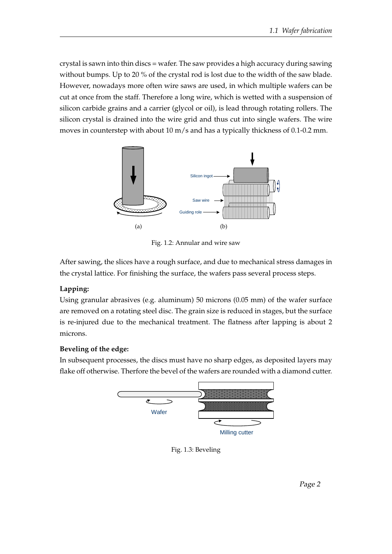crystal is sawn into thin discs = wafer. The saw provides a high accuracy during sawing without bumps. Up to 20 % of the crystal rod is lost due to the width of the saw blade. However, nowadays more often wire saws are used, in which multiple wafers can be cut at once from the staff. Therefore a long wire, which is wetted with a suspension of silicon carbide grains and a carrier (glycol or oil), is lead through rotating rollers. The silicon crystal is drained into the wire grid and thus cut into single wafers. The wire moves in counterstep with about 10 m/s and has a typically thickness of 0.1-0.2 mm.



Fig. 1.2: Annular and wire saw

After sawing, the slices have a rough surface, and due to mechanical stress damages in the crystal lattice. For finishing the surface, the wafers pass several process steps.

#### **Lapping:**

Using granular abrasives (e.g. aluminum) 50 microns (0.05 mm) of the wafer surface are removed on a rotating steel disc. The grain size is reduced in stages, but the surface is re-injured due to the mechanical treatment. The flatness after lapping is about 2 microns.

#### **Beveling of the edge:**

In subsequent processes, the discs must have no sharp edges, as deposited layers may flake off otherwise. Therfore the bevel of the wafers are rounded with a diamond cutter.



Fig. 1.3: Beveling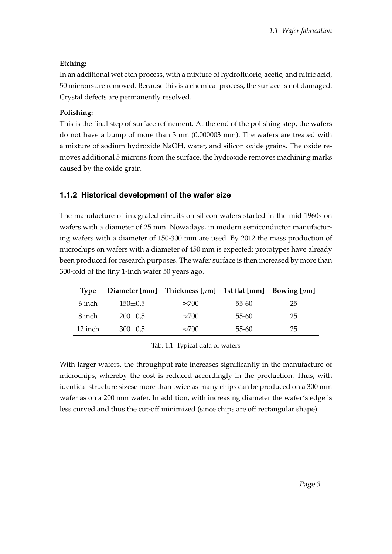#### **Etching:**

In an additional wet etch process, with a mixture of hydrofluoric, acetic, and nitric acid, 50 microns are removed. Because this is a chemical process, the surface is not damaged. Crystal defects are permanently resolved.

#### **Polishing:**

This is the final step of surface refinement. At the end of the polishing step, the wafers do not have a bump of more than 3 nm (0.000003 mm). The wafers are treated with a mixture of sodium hydroxide NaOH, water, and silicon oxide grains. The oxide removes additional 5 microns from the surface, the hydroxide removes machining marks caused by the oxide grain.

### **1.1.2 Historical development of the wafer size**

The manufacture of integrated circuits on silicon wafers started in the mid 1960s on wafers with a diameter of 25 mm. Nowadays, in modern semiconductor manufacturing wafers with a diameter of 150-300 mm are used. By 2012 the mass production of microchips on wafers with a diameter of 450 mm is expected; prototypes have already been produced for research purposes. The wafer surface is then increased by more than 300-fold of the tiny 1-inch wafer 50 years ago.

| 'Ivpe   |               | Diameter [mm] Thickness $[\mu m]$ 1st flat [mm] |       | Bowing $[\mu m]$ |
|---------|---------------|-------------------------------------------------|-------|------------------|
| 6 inch  | $150 \pm 0.5$ | $\approx$ 700                                   | 55-60 | 25               |
| 8 inch  | $200 \pm 0.5$ | $\approx$ 700                                   | 55-60 | 25               |
| 12 inch | $300 \pm 0.5$ | $\approx$ 700                                   | 55-60 | 25               |

Tab. 1.1: Typical data of wafers

With larger wafers, the throughput rate increases significantly in the manufacture of microchips, whereby the cost is reduced accordingly in the production. Thus, with identical structure sizese more than twice as many chips can be produced on a 300 mm wafer as on a 200 mm wafer. In addition, with increasing diameter the wafer's edge is less curved and thus the cut-off minimized (since chips are off rectangular shape).